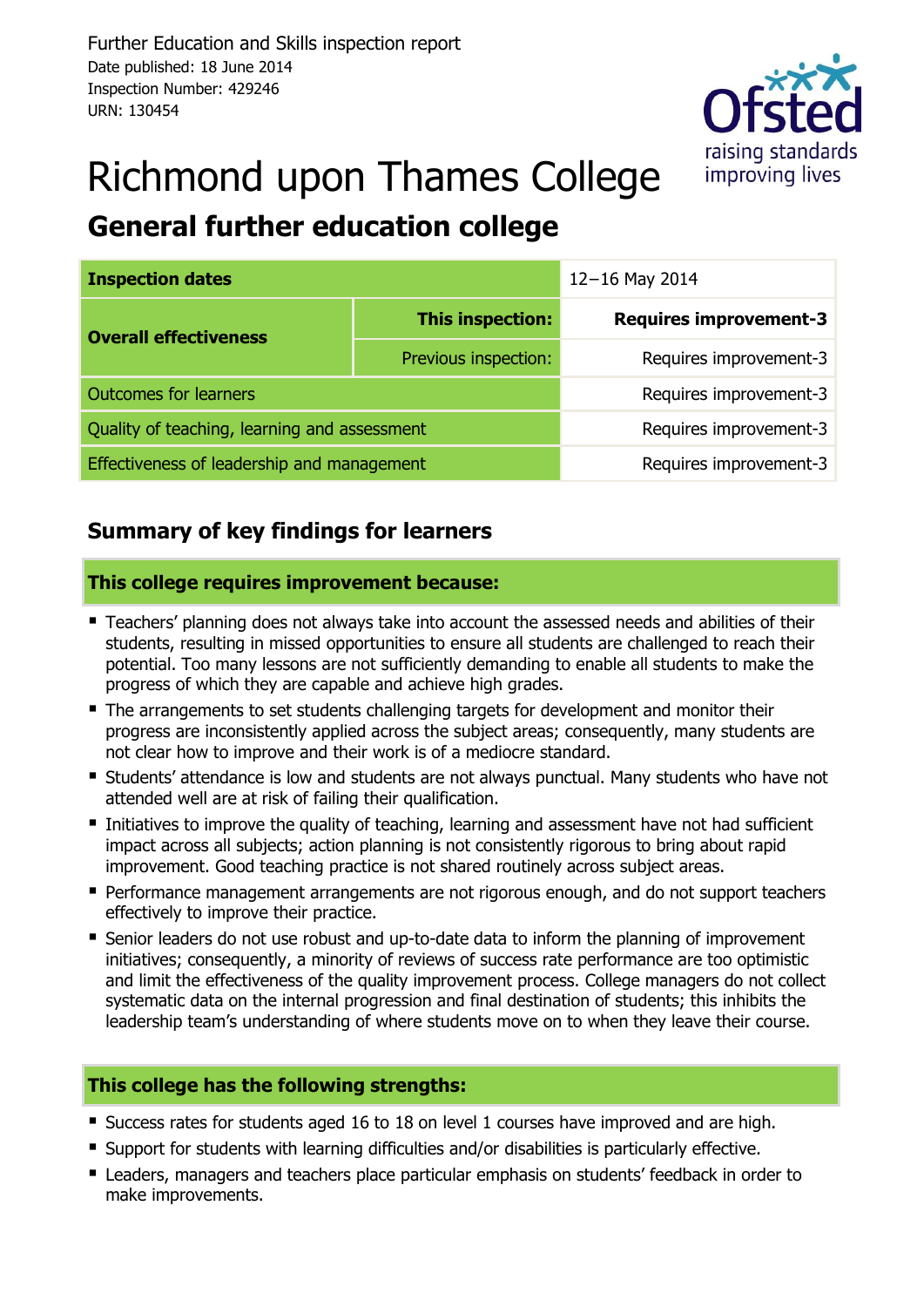

# Richmond upon Thames College **General further education college**

| <b>Inspection dates</b>                      | 12-16 May 2014         |                               |  |  |  |  |
|----------------------------------------------|------------------------|-------------------------------|--|--|--|--|
| <b>Overall effectiveness</b>                 | This inspection:       | <b>Requires improvement-3</b> |  |  |  |  |
|                                              | Previous inspection:   | Requires improvement-3        |  |  |  |  |
| <b>Outcomes for learners</b>                 | Requires improvement-3 |                               |  |  |  |  |
| Quality of teaching, learning and assessment | Requires improvement-3 |                               |  |  |  |  |
| Effectiveness of leadership and management   | Requires improvement-3 |                               |  |  |  |  |

# **Summary of key findings for learners**

#### **This college requires improvement because:**

- Teachers' planning does not always take into account the assessed needs and abilities of their students, resulting in missed opportunities to ensure all students are challenged to reach their potential. Too many lessons are not sufficiently demanding to enable all students to make the progress of which they are capable and achieve high grades.
- **The arrangements to set students challenging targets for development and monitor their** progress are inconsistently applied across the subject areas; consequently, many students are not clear how to improve and their work is of a mediocre standard.
- **Students' attendance is low and students are not always punctual. Many students who have not** attended well are at risk of failing their qualification.
- Initiatives to improve the quality of teaching, learning and assessment have not had sufficient impact across all subjects; action planning is not consistently rigorous to bring about rapid improvement. Good teaching practice is not shared routinely across subject areas.
- **Performance management arrangements are not rigorous enough, and do not support teachers** effectively to improve their practice.
- Senior leaders do not use robust and up-to-date data to inform the planning of improvement initiatives; consequently, a minority of reviews of success rate performance are too optimistic and limit the effectiveness of the quality improvement process. College managers do not collect systematic data on the internal progression and final destination of students; this inhibits the leadership team's understanding of where students move on to when they leave their course.

#### **This college has the following strengths:**

- Success rates for students aged 16 to 18 on level 1 courses have improved and are high.
- Support for students with learning difficulties and/or disabilities is particularly effective.
- Leaders, managers and teachers place particular emphasis on students' feedback in order to make improvements.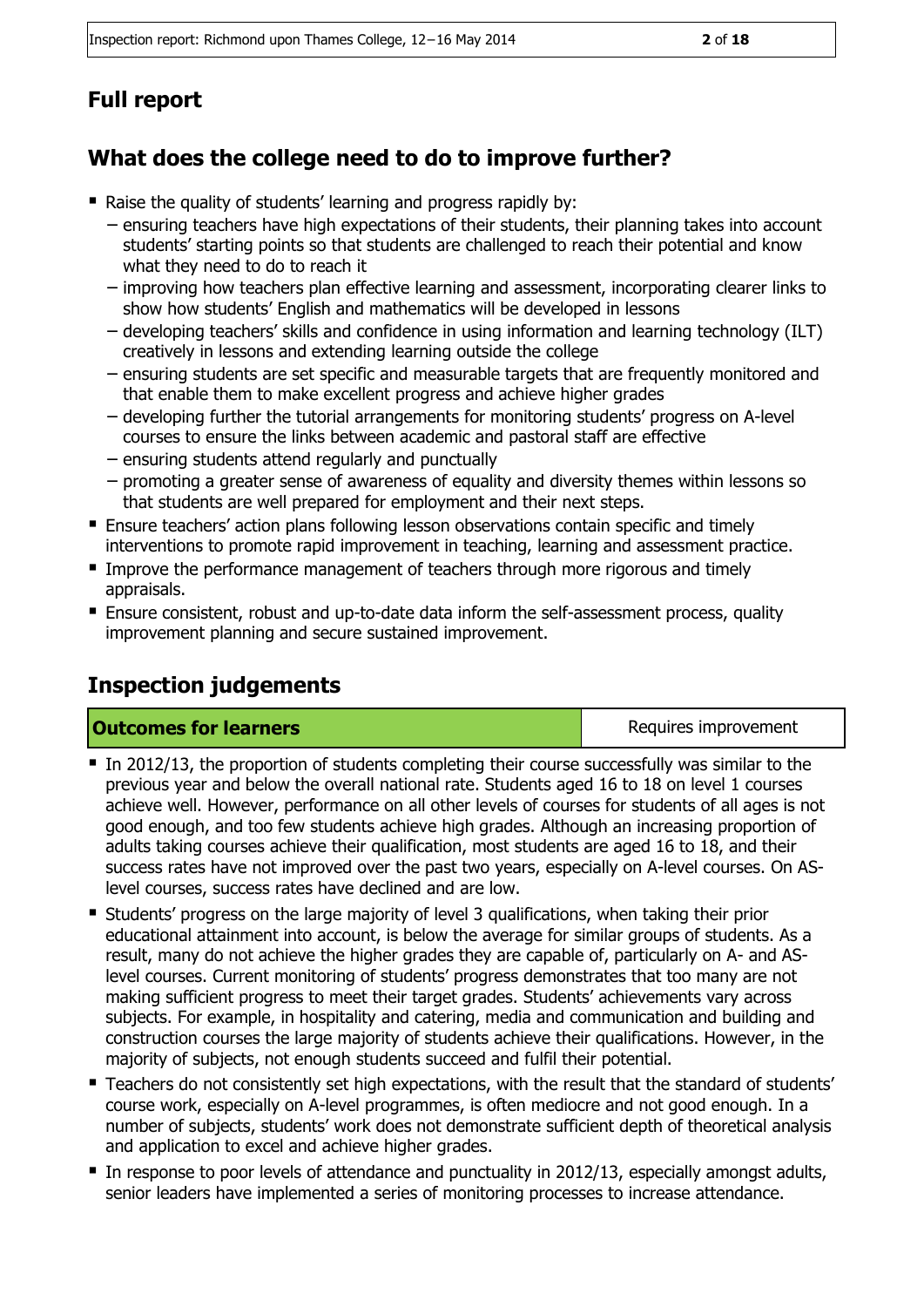# **Full report**

# **What does the college need to do to improve further?**

- Raise the quality of students' learning and progress rapidly by:
	- − ensuring teachers have high expectations of their students, their planning takes into account students' starting points so that students are challenged to reach their potential and know what they need to do to reach it
	- − improving how teachers plan effective learning and assessment, incorporating clearer links to show how students' English and mathematics will be developed in lessons
	- − developing teachers' skills and confidence in using information and learning technology (ILT) creatively in lessons and extending learning outside the college
	- − ensuring students are set specific and measurable targets that are frequently monitored and that enable them to make excellent progress and achieve higher grades
	- − developing further the tutorial arrangements for monitoring students' progress on A-level courses to ensure the links between academic and pastoral staff are effective
	- − ensuring students attend regularly and punctually
	- − promoting a greater sense of awareness of equality and diversity themes within lessons so that students are well prepared for employment and their next steps.
- **Ensure teachers' action plans following lesson observations contain specific and timely** interventions to promote rapid improvement in teaching, learning and assessment practice.
- **IMPROVE THE PERIOD IMPLE THE IMPLE THE PERIOD IMPLE IN THE IMAGE IMAGES** IMPLY appraisals.
- Ensure consistent, robust and up-to-date data inform the self-assessment process, quality improvement planning and secure sustained improvement.

# **Inspection judgements**

#### **Outcomes for learners Requires improvement**

- In 2012/13, the proportion of students completing their course successfully was similar to the previous year and below the overall national rate. Students aged 16 to 18 on level 1 courses achieve well. However, performance on all other levels of courses for students of all ages is not good enough, and too few students achieve high grades. Although an increasing proportion of adults taking courses achieve their qualification, most students are aged 16 to 18, and their success rates have not improved over the past two years, especially on A-level courses. On ASlevel courses, success rates have declined and are low.
- Students' progress on the large majority of level 3 qualifications, when taking their prior educational attainment into account, is below the average for similar groups of students. As a result, many do not achieve the higher grades they are capable of, particularly on A- and ASlevel courses. Current monitoring of students' progress demonstrates that too many are not making sufficient progress to meet their target grades. Students' achievements vary across subjects. For example, in hospitality and catering, media and communication and building and construction courses the large majority of students achieve their qualifications. However, in the majority of subjects, not enough students succeed and fulfil their potential.
- Teachers do not consistently set high expectations, with the result that the standard of students' course work, especially on A-level programmes, is often mediocre and not good enough. In a number of subjects, students' work does not demonstrate sufficient depth of theoretical analysis and application to excel and achieve higher grades.
- In response to poor levels of attendance and punctuality in 2012/13, especially amongst adults, senior leaders have implemented a series of monitoring processes to increase attendance.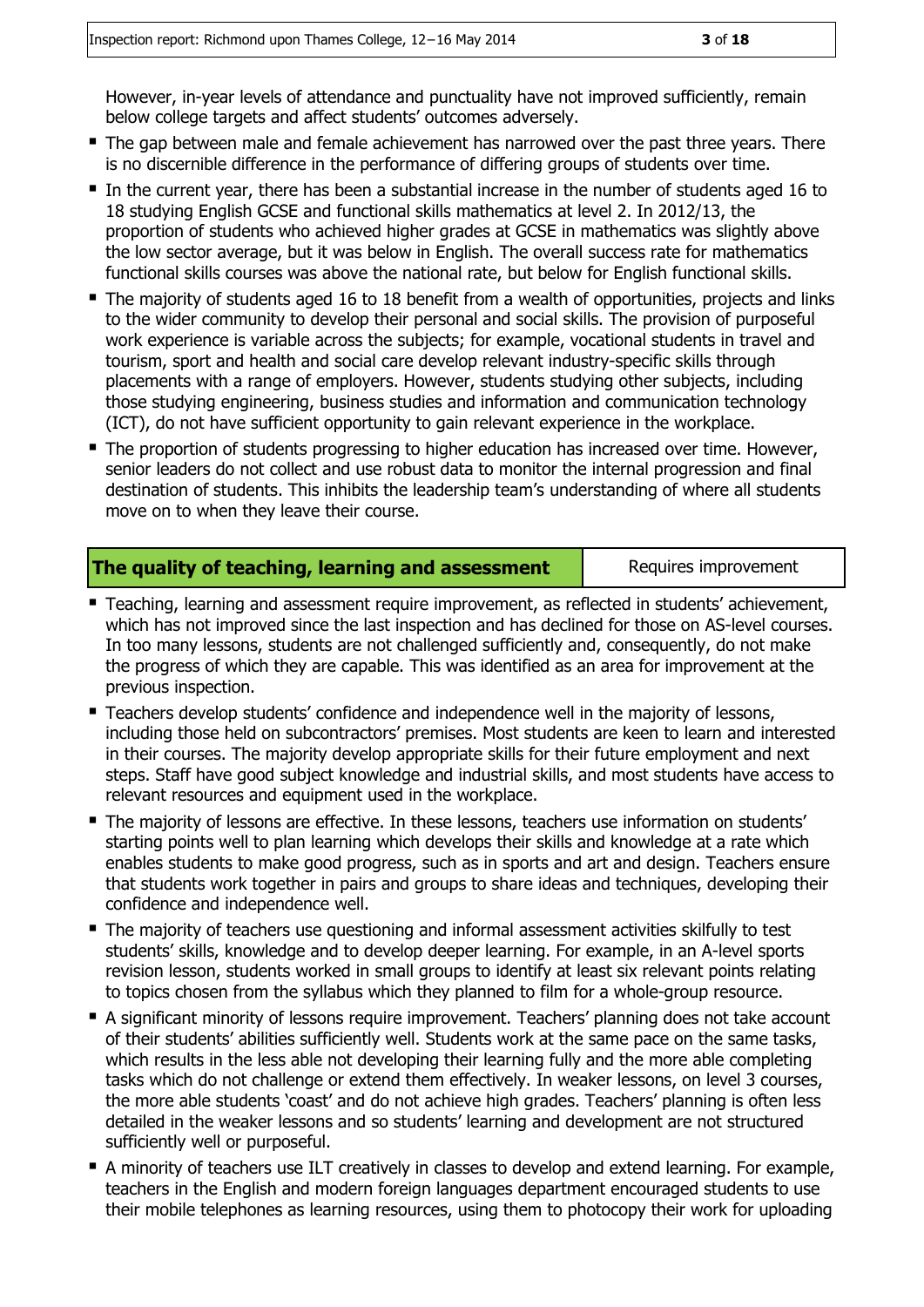However, in-year levels of attendance and punctuality have not improved sufficiently, remain below college targets and affect students' outcomes adversely.

- The gap between male and female achievement has narrowed over the past three years. There is no discernible difference in the performance of differing groups of students over time.
- In the current year, there has been a substantial increase in the number of students aged 16 to 18 studying English GCSE and functional skills mathematics at level 2. In 2012/13, the proportion of students who achieved higher grades at GCSE in mathematics was slightly above the low sector average, but it was below in English. The overall success rate for mathematics functional skills courses was above the national rate, but below for English functional skills.
- The majority of students aged 16 to 18 benefit from a wealth of opportunities, projects and links to the wider community to develop their personal and social skills. The provision of purposeful work experience is variable across the subjects; for example, vocational students in travel and tourism, sport and health and social care develop relevant industry-specific skills through placements with a range of employers. However, students studying other subjects, including those studying engineering, business studies and information and communication technology (ICT), do not have sufficient opportunity to gain relevant experience in the workplace.
- The proportion of students progressing to higher education has increased over time. However, senior leaders do not collect and use robust data to monitor the internal progression and final destination of students. This inhibits the leadership team's understanding of where all students move on to when they leave their course.

#### **The quality of teaching, learning and assessment** Fame Requires improvement

- Teaching, learning and assessment require improvement, as reflected in students' achievement, which has not improved since the last inspection and has declined for those on AS-level courses. In too many lessons, students are not challenged sufficiently and, consequently, do not make the progress of which they are capable. This was identified as an area for improvement at the previous inspection.
- **Teachers develop students' confidence and independence well in the majority of lessons,** including those held on subcontractors' premises. Most students are keen to learn and interested in their courses. The majority develop appropriate skills for their future employment and next steps. Staff have good subject knowledge and industrial skills, and most students have access to relevant resources and equipment used in the workplace.
- The majority of lessons are effective. In these lessons, teachers use information on students' starting points well to plan learning which develops their skills and knowledge at a rate which enables students to make good progress, such as in sports and art and design. Teachers ensure that students work together in pairs and groups to share ideas and techniques, developing their confidence and independence well.
- The majority of teachers use questioning and informal assessment activities skilfully to test students' skills, knowledge and to develop deeper learning. For example, in an A-level sports revision lesson, students worked in small groups to identify at least six relevant points relating to topics chosen from the syllabus which they planned to film for a whole-group resource.
- A significant minority of lessons require improvement. Teachers' planning does not take account of their students' abilities sufficiently well. Students work at the same pace on the same tasks, which results in the less able not developing their learning fully and the more able completing tasks which do not challenge or extend them effectively. In weaker lessons, on level 3 courses, the more able students 'coast' and do not achieve high grades. Teachers' planning is often less detailed in the weaker lessons and so students' learning and development are not structured sufficiently well or purposeful.
- A minority of teachers use ILT creatively in classes to develop and extend learning. For example, teachers in the English and modern foreign languages department encouraged students to use their mobile telephones as learning resources, using them to photocopy their work for uploading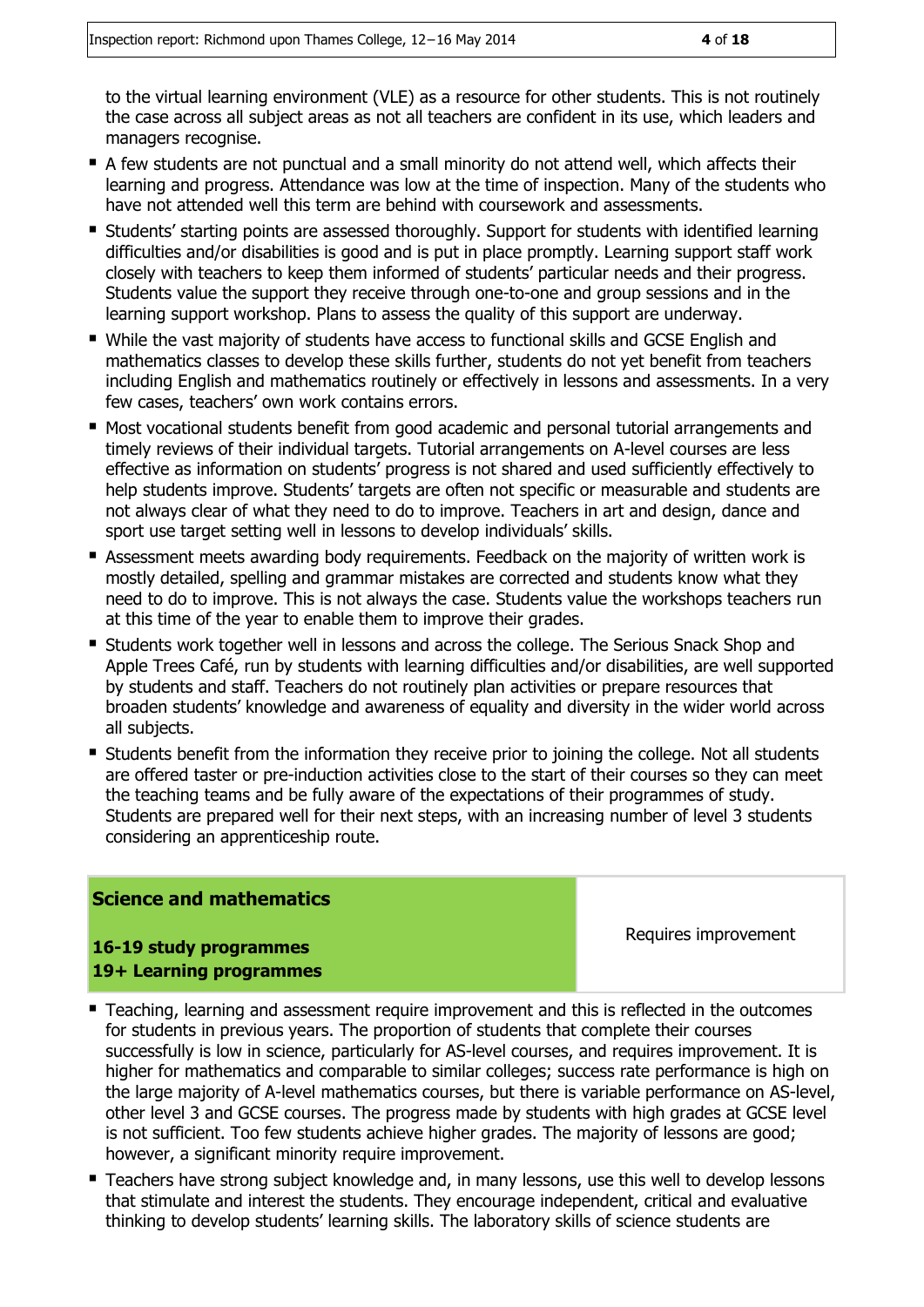to the virtual learning environment (VLE) as a resource for other students. This is not routinely the case across all subject areas as not all teachers are confident in its use, which leaders and managers recognise.

- A few students are not punctual and a small minority do not attend well, which affects their learning and progress. Attendance was low at the time of inspection. Many of the students who have not attended well this term are behind with coursework and assessments.
- Students' starting points are assessed thoroughly. Support for students with identified learning difficulties and/or disabilities is good and is put in place promptly. Learning support staff work closely with teachers to keep them informed of students' particular needs and their progress. Students value the support they receive through one-to-one and group sessions and in the learning support workshop. Plans to assess the quality of this support are underway.
- While the vast majority of students have access to functional skills and GCSE English and mathematics classes to develop these skills further, students do not yet benefit from teachers including English and mathematics routinely or effectively in lessons and assessments. In a very few cases, teachers' own work contains errors.
- Most vocational students benefit from good academic and personal tutorial arrangements and timely reviews of their individual targets. Tutorial arrangements on A-level courses are less effective as information on students' progress is not shared and used sufficiently effectively to help students improve. Students' targets are often not specific or measurable and students are not always clear of what they need to do to improve. Teachers in art and design, dance and sport use target setting well in lessons to develop individuals' skills.
- Assessment meets awarding body requirements. Feedback on the majority of written work is mostly detailed, spelling and grammar mistakes are corrected and students know what they need to do to improve. This is not always the case. Students value the workshops teachers run at this time of the year to enable them to improve their grades.
- Students work together well in lessons and across the college. The Serious Snack Shop and Apple Trees Café, run by students with learning difficulties and/or disabilities, are well supported by students and staff. Teachers do not routinely plan activities or prepare resources that broaden students' knowledge and awareness of equality and diversity in the wider world across all subjects.
- **Students benefit from the information they receive prior to joining the college. Not all students** are offered taster or pre-induction activities close to the start of their courses so they can meet the teaching teams and be fully aware of the expectations of their programmes of study. Students are prepared well for their next steps, with an increasing number of level 3 students considering an apprenticeship route.

#### **Science and mathematics**

Requires improvement

#### **16-19 study programmes 19+ Learning programmes**

- Teaching, learning and assessment require improvement and this is reflected in the outcomes for students in previous years. The proportion of students that complete their courses successfully is low in science, particularly for AS-level courses, and requires improvement. It is higher for mathematics and comparable to similar colleges; success rate performance is high on the large majority of A-level mathematics courses, but there is variable performance on AS-level, other level 3 and GCSE courses. The progress made by students with high grades at GCSE level is not sufficient. Too few students achieve higher grades. The majority of lessons are good; however, a significant minority require improvement.
- Teachers have strong subject knowledge and, in many lessons, use this well to develop lessons that stimulate and interest the students. They encourage independent, critical and evaluative thinking to develop students' learning skills. The laboratory skills of science students are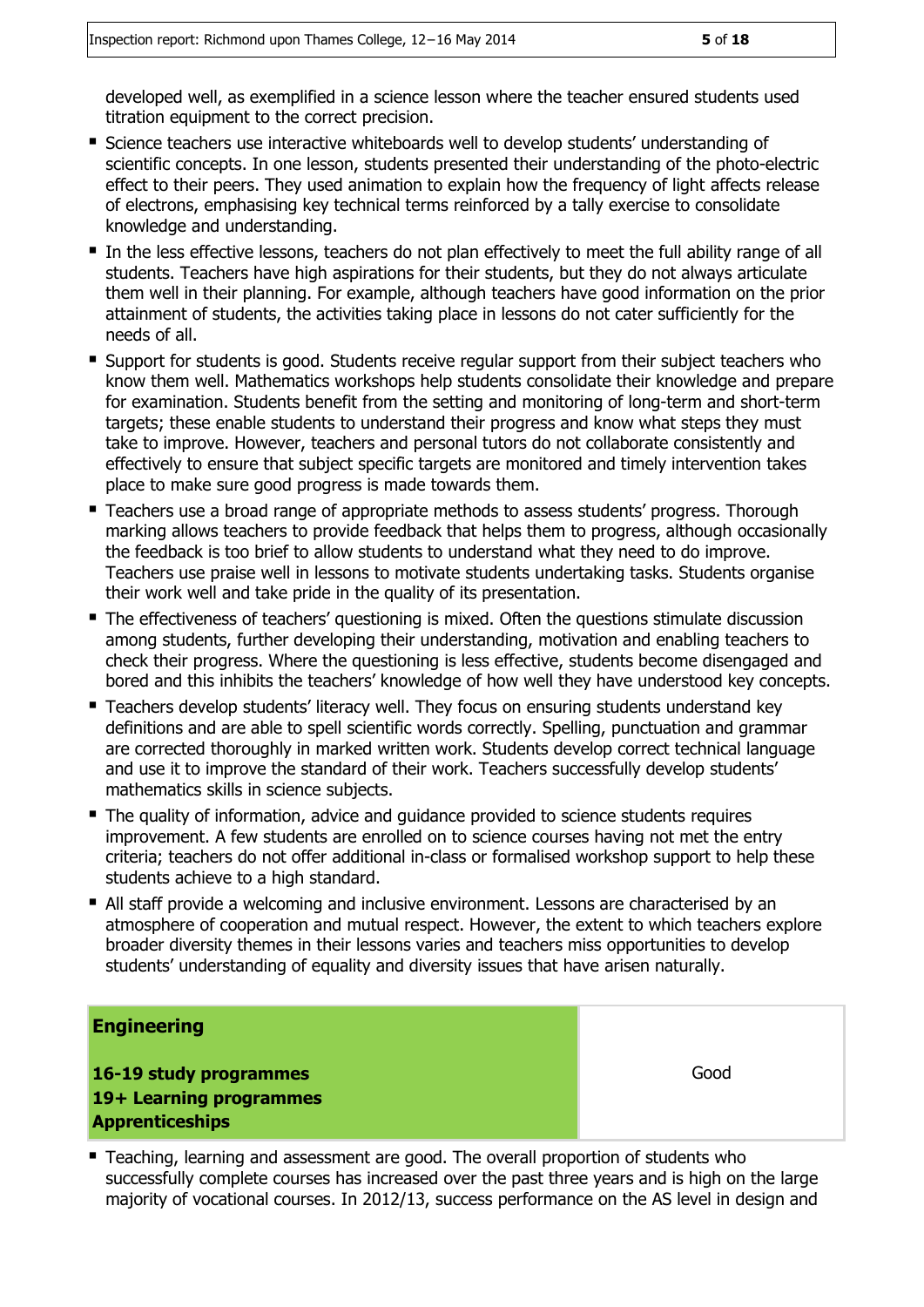developed well, as exemplified in a science lesson where the teacher ensured students used titration equipment to the correct precision.

- **Science teachers use interactive whiteboards well to develop students' understanding of** scientific concepts. In one lesson, students presented their understanding of the photo-electric effect to their peers. They used animation to explain how the frequency of light affects release of electrons, emphasising key technical terms reinforced by a tally exercise to consolidate knowledge and understanding.
- In the less effective lessons, teachers do not plan effectively to meet the full ability range of all students. Teachers have high aspirations for their students, but they do not always articulate them well in their planning. For example, although teachers have good information on the prior attainment of students, the activities taking place in lessons do not cater sufficiently for the needs of all.
- Support for students is good. Students receive regular support from their subject teachers who know them well. Mathematics workshops help students consolidate their knowledge and prepare for examination. Students benefit from the setting and monitoring of long-term and short-term targets; these enable students to understand their progress and know what steps they must take to improve. However, teachers and personal tutors do not collaborate consistently and effectively to ensure that subject specific targets are monitored and timely intervention takes place to make sure good progress is made towards them.
- **Teachers use a broad range of appropriate methods to assess students' progress. Thorough** marking allows teachers to provide feedback that helps them to progress, although occasionally the feedback is too brief to allow students to understand what they need to do improve. Teachers use praise well in lessons to motivate students undertaking tasks. Students organise their work well and take pride in the quality of its presentation.
- The effectiveness of teachers' questioning is mixed. Often the questions stimulate discussion among students, further developing their understanding, motivation and enabling teachers to check their progress. Where the questioning is less effective, students become disengaged and bored and this inhibits the teachers' knowledge of how well they have understood key concepts.
- Teachers develop students' literacy well. They focus on ensuring students understand key definitions and are able to spell scientific words correctly. Spelling, punctuation and grammar are corrected thoroughly in marked written work. Students develop correct technical language and use it to improve the standard of their work. Teachers successfully develop students' mathematics skills in science subjects.
- The quality of information, advice and quidance provided to science students requires improvement. A few students are enrolled on to science courses having not met the entry criteria; teachers do not offer additional in-class or formalised workshop support to help these students achieve to a high standard.
- All staff provide a welcoming and inclusive environment. Lessons are characterised by an atmosphere of cooperation and mutual respect. However, the extent to which teachers explore broader diversity themes in their lessons varies and teachers miss opportunities to develop students' understanding of equality and diversity issues that have arisen naturally.

#### **Engineering**

**16-19 study programmes 19+ Learning programmes Apprenticeships**

Good

 Teaching, learning and assessment are good. The overall proportion of students who successfully complete courses has increased over the past three years and is high on the large majority of vocational courses. In 2012/13, success performance on the AS level in design and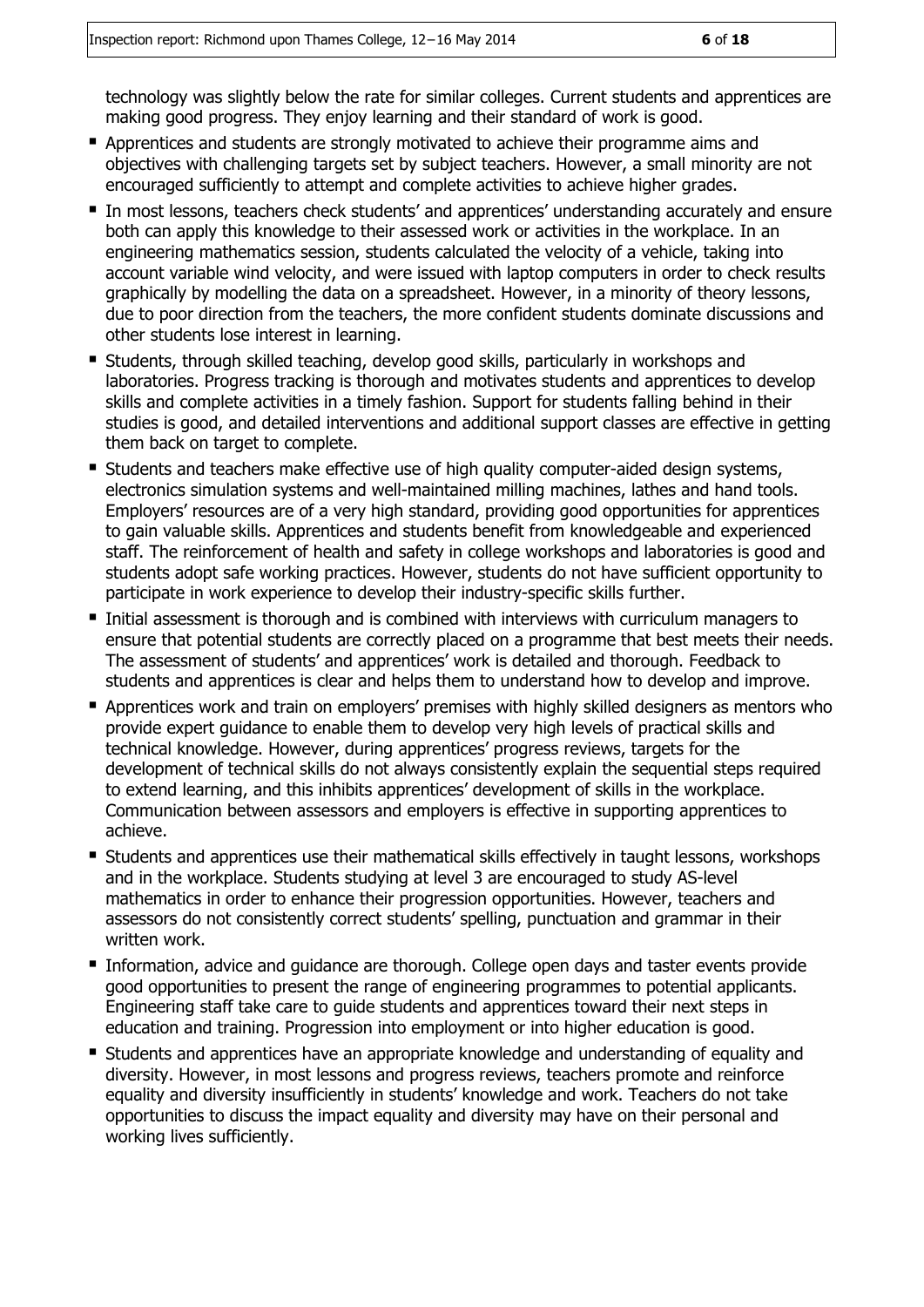technology was slightly below the rate for similar colleges. Current students and apprentices are making good progress. They enjoy learning and their standard of work is good.

- **Apprentices and students are strongly motivated to achieve their programme aims and** objectives with challenging targets set by subject teachers. However, a small minority are not encouraged sufficiently to attempt and complete activities to achieve higher grades.
- In most lessons, teachers check students' and apprentices' understanding accurately and ensure both can apply this knowledge to their assessed work or activities in the workplace. In an engineering mathematics session, students calculated the velocity of a vehicle, taking into account variable wind velocity, and were issued with laptop computers in order to check results graphically by modelling the data on a spreadsheet. However, in a minority of theory lessons, due to poor direction from the teachers, the more confident students dominate discussions and other students lose interest in learning.
- Students, through skilled teaching, develop good skills, particularly in workshops and laboratories. Progress tracking is thorough and motivates students and apprentices to develop skills and complete activities in a timely fashion. Support for students falling behind in their studies is good, and detailed interventions and additional support classes are effective in getting them back on target to complete.
- Students and teachers make effective use of high quality computer-aided design systems, electronics simulation systems and well-maintained milling machines, lathes and hand tools. Employers' resources are of a very high standard, providing good opportunities for apprentices to gain valuable skills. Apprentices and students benefit from knowledgeable and experienced staff. The reinforcement of health and safety in college workshops and laboratories is good and students adopt safe working practices. However, students do not have sufficient opportunity to participate in work experience to develop their industry-specific skills further.
- Initial assessment is thorough and is combined with interviews with curriculum managers to ensure that potential students are correctly placed on a programme that best meets their needs. The assessment of students' and apprentices' work is detailed and thorough. Feedback to students and apprentices is clear and helps them to understand how to develop and improve.
- **Apprentices work and train on employers' premises with highly skilled designers as mentors who** provide expert guidance to enable them to develop very high levels of practical skills and technical knowledge. However, during apprentices' progress reviews, targets for the development of technical skills do not always consistently explain the sequential steps required to extend learning, and this inhibits apprentices' development of skills in the workplace. Communication between assessors and employers is effective in supporting apprentices to achieve.
- **Students and apprentices use their mathematical skills effectively in taught lessons, workshops** and in the workplace. Students studying at level 3 are encouraged to study AS-level mathematics in order to enhance their progression opportunities. However, teachers and assessors do not consistently correct students' spelling, punctuation and grammar in their written work.
- Information, advice and quidance are thorough. College open days and taster events provide good opportunities to present the range of engineering programmes to potential applicants. Engineering staff take care to guide students and apprentices toward their next steps in education and training. Progression into employment or into higher education is good.
- Students and apprentices have an appropriate knowledge and understanding of equality and diversity. However, in most lessons and progress reviews, teachers promote and reinforce equality and diversity insufficiently in students' knowledge and work. Teachers do not take opportunities to discuss the impact equality and diversity may have on their personal and working lives sufficiently.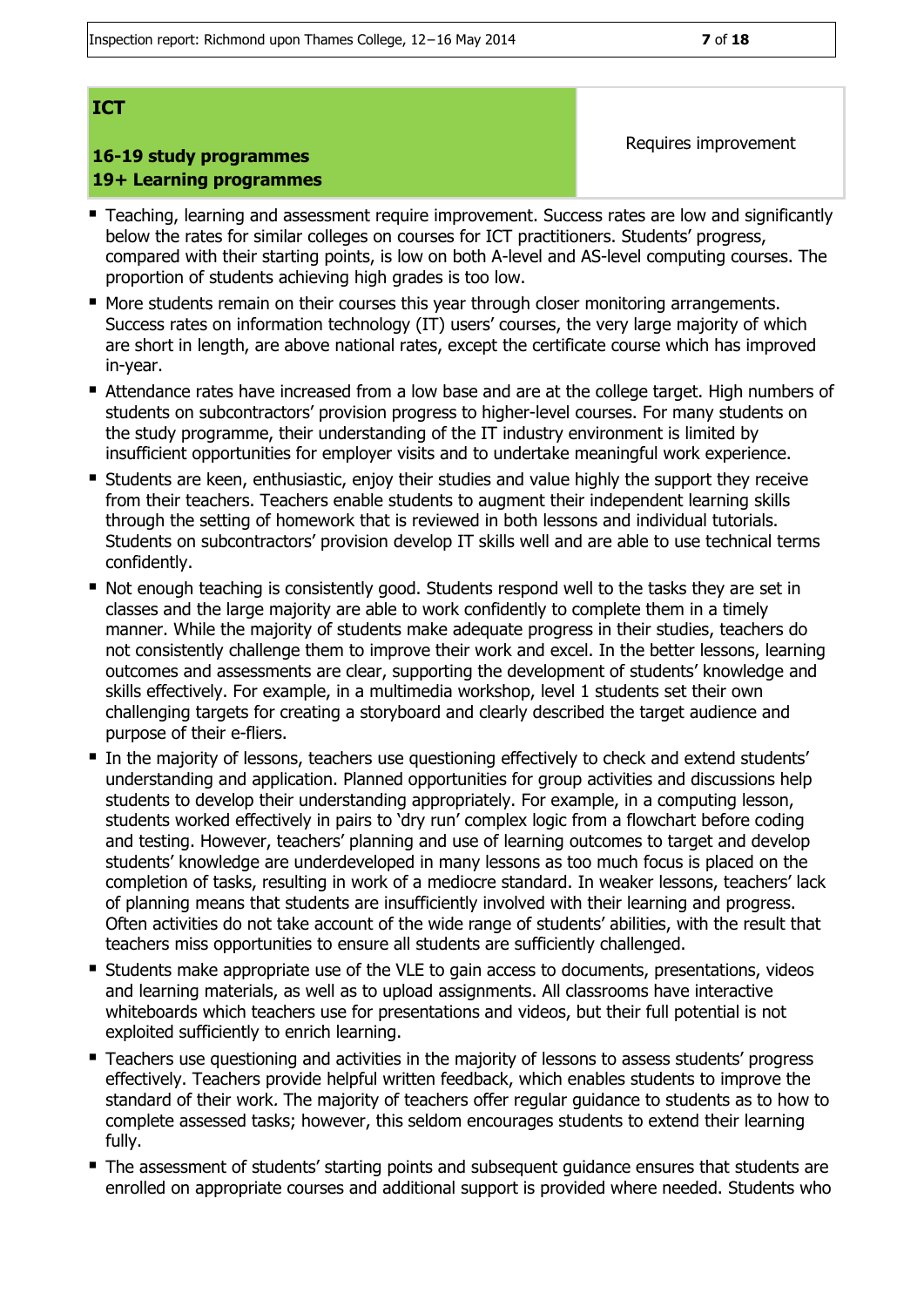#### **ICT**

### **16-19 study programmes 19+ Learning programmes**

- Teaching, learning and assessment require improvement. Success rates are low and significantly below the rates for similar colleges on courses for ICT practitioners. Students' progress, compared with their starting points, is low on both A-level and AS-level computing courses. The proportion of students achieving high grades is too low.
- **More students remain on their courses this year through closer monitoring arrangements.** Success rates on information technology (IT) users' courses, the very large majority of which are short in length, are above national rates, except the certificate course which has improved in-year.
- Attendance rates have increased from a low base and are at the college target. High numbers of students on subcontractors' provision progress to higher-level courses. For many students on the study programme, their understanding of the IT industry environment is limited by insufficient opportunities for employer visits and to undertake meaningful work experience.
- Students are keen, enthusiastic, enjoy their studies and value highly the support they receive from their teachers. Teachers enable students to augment their independent learning skills through the setting of homework that is reviewed in both lessons and individual tutorials. Students on subcontractors' provision develop IT skills well and are able to use technical terms confidently.
- Not enough teaching is consistently good. Students respond well to the tasks they are set in classes and the large majority are able to work confidently to complete them in a timely manner. While the majority of students make adequate progress in their studies, teachers do not consistently challenge them to improve their work and excel. In the better lessons, learning outcomes and assessments are clear, supporting the development of students' knowledge and skills effectively. For example, in a multimedia workshop, level 1 students set their own challenging targets for creating a storyboard and clearly described the target audience and purpose of their e-fliers.
- In the majority of lessons, teachers use questioning effectively to check and extend students' understanding and application. Planned opportunities for group activities and discussions help students to develop their understanding appropriately. For example, in a computing lesson, students worked effectively in pairs to 'dry run' complex logic from a flowchart before coding and testing. However, teachers' planning and use of learning outcomes to target and develop students' knowledge are underdeveloped in many lessons as too much focus is placed on the completion of tasks, resulting in work of a mediocre standard. In weaker lessons, teachers' lack of planning means that students are insufficiently involved with their learning and progress. Often activities do not take account of the wide range of students' abilities, with the result that teachers miss opportunities to ensure all students are sufficiently challenged.
- Students make appropriate use of the VLE to gain access to documents, presentations, videos and learning materials, as well as to upload assignments. All classrooms have interactive whiteboards which teachers use for presentations and videos, but their full potential is not exploited sufficiently to enrich learning.
- **Teachers use questioning and activities in the majority of lessons to assess students' progress** effectively. Teachers provide helpful written feedback, which enables students to improve the standard of their work. The majority of teachers offer regular guidance to students as to how to complete assessed tasks; however, this seldom encourages students to extend their learning fully.
- The assessment of students' starting points and subsequent quidance ensures that students are enrolled on appropriate courses and additional support is provided where needed. Students who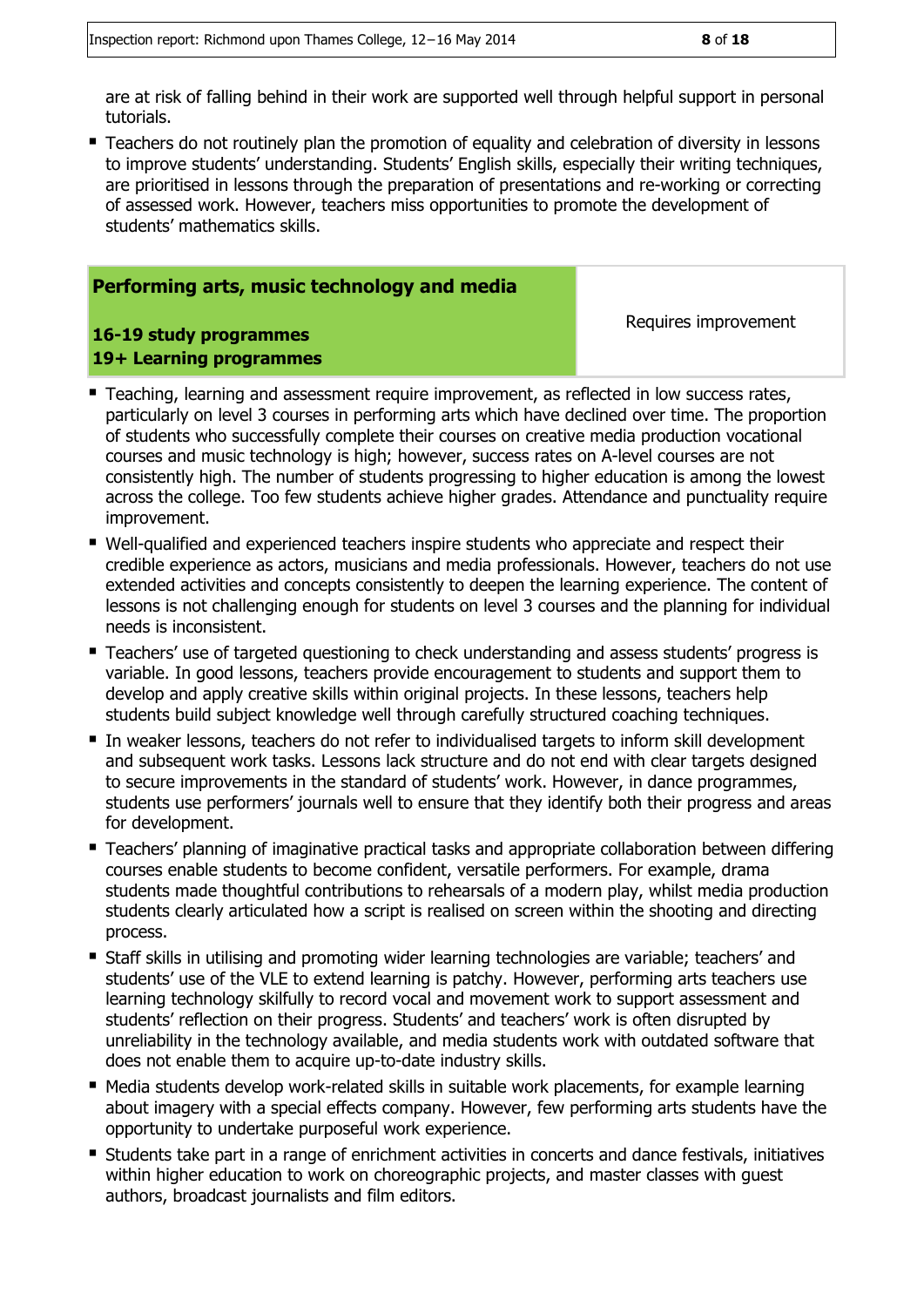are at risk of falling behind in their work are supported well through helpful support in personal tutorials.

**Teachers do not routinely plan the promotion of equality and celebration of diversity in lessons** to improve students' understanding. Students' English skills, especially their writing techniques, are prioritised in lessons through the preparation of presentations and re-working or correcting of assessed work. However, teachers miss opportunities to promote the development of students' mathematics skills.

#### **Performing arts, music technology and media**

**16-19 study programmes 19+ Learning programmes**

- **Teaching, learning and assessment require improvement, as reflected in low success rates,** particularly on level 3 courses in performing arts which have declined over time. The proportion of students who successfully complete their courses on creative media production vocational courses and music technology is high; however, success rates on A-level courses are not consistently high. The number of students progressing to higher education is among the lowest across the college. Too few students achieve higher grades. Attendance and punctuality require improvement.
- Well-qualified and experienced teachers inspire students who appreciate and respect their credible experience as actors, musicians and media professionals. However, teachers do not use extended activities and concepts consistently to deepen the learning experience. The content of lessons is not challenging enough for students on level 3 courses and the planning for individual needs is inconsistent.
- **Teachers' use of targeted questioning to check understanding and assess students' progress is** variable. In good lessons, teachers provide encouragement to students and support them to develop and apply creative skills within original projects. In these lessons, teachers help students build subject knowledge well through carefully structured coaching techniques.
- In weaker lessons, teachers do not refer to individualised targets to inform skill development and subsequent work tasks. Lessons lack structure and do not end with clear targets designed to secure improvements in the standard of students' work. However, in dance programmes, students use performers' journals well to ensure that they identify both their progress and areas for development.
- Teachers' planning of imaginative practical tasks and appropriate collaboration between differing courses enable students to become confident, versatile performers. For example, drama students made thoughtful contributions to rehearsals of a modern play, whilst media production students clearly articulated how a script is realised on screen within the shooting and directing process.
- Staff skills in utilising and promoting wider learning technologies are variable; teachers' and students' use of the VLE to extend learning is patchy. However, performing arts teachers use learning technology skilfully to record vocal and movement work to support assessment and students' reflection on their progress. Students' and teachers' work is often disrupted by unreliability in the technology available, and media students work with outdated software that does not enable them to acquire up-to-date industry skills.
- Media students develop work-related skills in suitable work placements, for example learning about imagery with a special effects company. However, few performing arts students have the opportunity to undertake purposeful work experience.
- Students take part in a range of enrichment activities in concerts and dance festivals, initiatives within higher education to work on choreographic projects, and master classes with guest authors, broadcast journalists and film editors.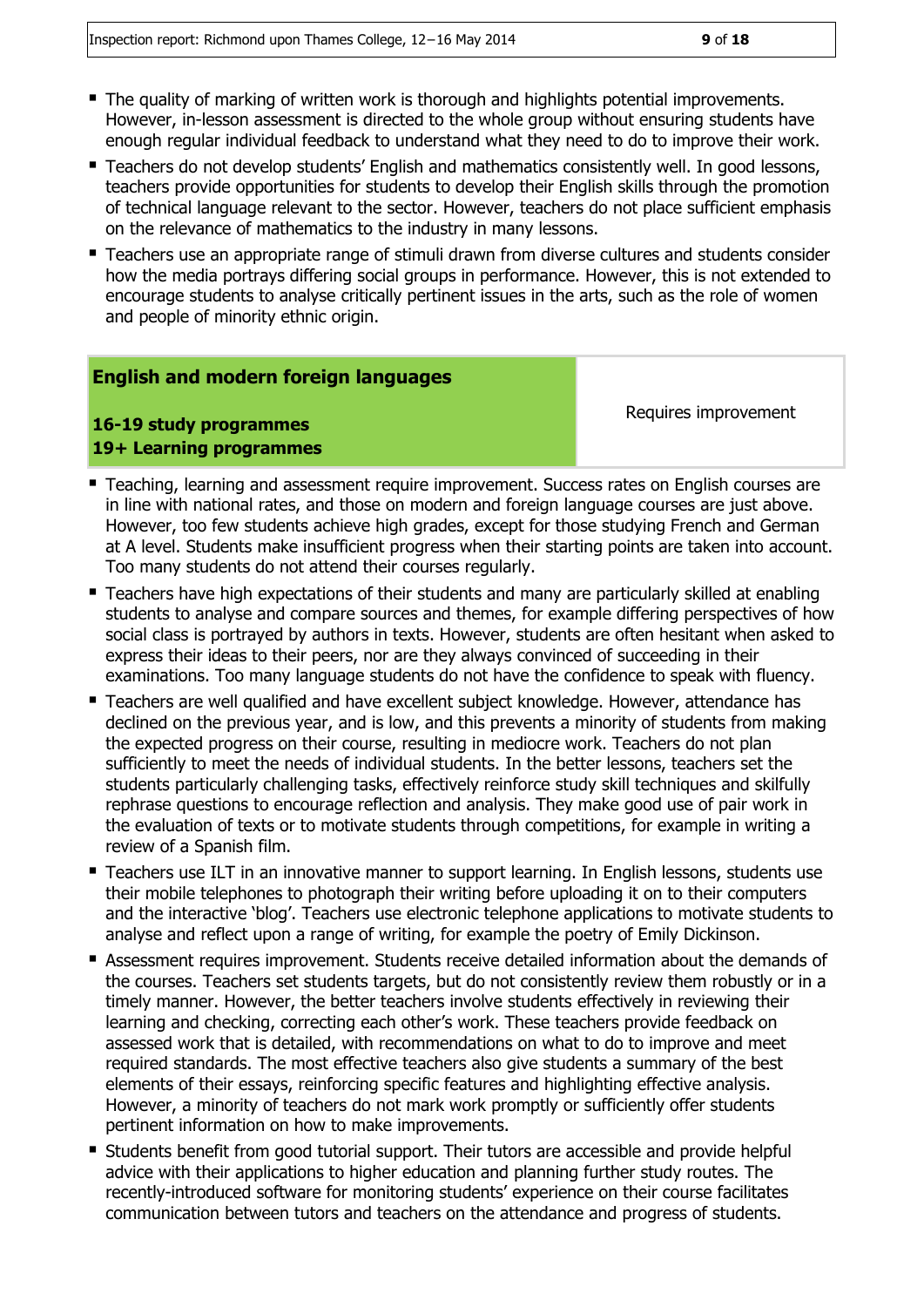- The quality of marking of written work is thorough and highlights potential improvements. However, in-lesson assessment is directed to the whole group without ensuring students have enough regular individual feedback to understand what they need to do to improve their work.
- **Teachers do not develop students' English and mathematics consistently well. In good lessons,** teachers provide opportunities for students to develop their English skills through the promotion of technical language relevant to the sector. However, teachers do not place sufficient emphasis on the relevance of mathematics to the industry in many lessons.
- Teachers use an appropriate range of stimuli drawn from diverse cultures and students consider how the media portrays differing social groups in performance. However, this is not extended to encourage students to analyse critically pertinent issues in the arts, such as the role of women and people of minority ethnic origin.

#### **English and modern foreign languages**

#### **16-19 study programmes 19+ Learning programmes**

- Teaching, learning and assessment require improvement. Success rates on English courses are in line with national rates, and those on modern and foreign language courses are just above. However, too few students achieve high grades, except for those studying French and German at A level. Students make insufficient progress when their starting points are taken into account. Too many students do not attend their courses regularly.
- Teachers have high expectations of their students and many are particularly skilled at enabling students to analyse and compare sources and themes, for example differing perspectives of how social class is portrayed by authors in texts. However, students are often hesitant when asked to express their ideas to their peers, nor are they always convinced of succeeding in their examinations. Too many language students do not have the confidence to speak with fluency.
- Teachers are well qualified and have excellent subject knowledge. However, attendance has declined on the previous year, and is low, and this prevents a minority of students from making the expected progress on their course, resulting in mediocre work. Teachers do not plan sufficiently to meet the needs of individual students. In the better lessons, teachers set the students particularly challenging tasks, effectively reinforce study skill techniques and skilfully rephrase questions to encourage reflection and analysis. They make good use of pair work in the evaluation of texts or to motivate students through competitions, for example in writing a review of a Spanish film.
- **Teachers use ILT in an innovative manner to support learning. In English lessons, students use** their mobile telephones to photograph their writing before uploading it on to their computers and the interactive 'blog'. Teachers use electronic telephone applications to motivate students to analyse and reflect upon a range of writing, for example the poetry of Emily Dickinson.
- Assessment requires improvement. Students receive detailed information about the demands of the courses. Teachers set students targets, but do not consistently review them robustly or in a timely manner. However, the better teachers involve students effectively in reviewing their learning and checking, correcting each other's work. These teachers provide feedback on assessed work that is detailed, with recommendations on what to do to improve and meet required standards. The most effective teachers also give students a summary of the best elements of their essays, reinforcing specific features and highlighting effective analysis. However, a minority of teachers do not mark work promptly or sufficiently offer students pertinent information on how to make improvements.
- Students benefit from good tutorial support. Their tutors are accessible and provide helpful advice with their applications to higher education and planning further study routes. The recently-introduced software for monitoring students' experience on their course facilitates communication between tutors and teachers on the attendance and progress of students.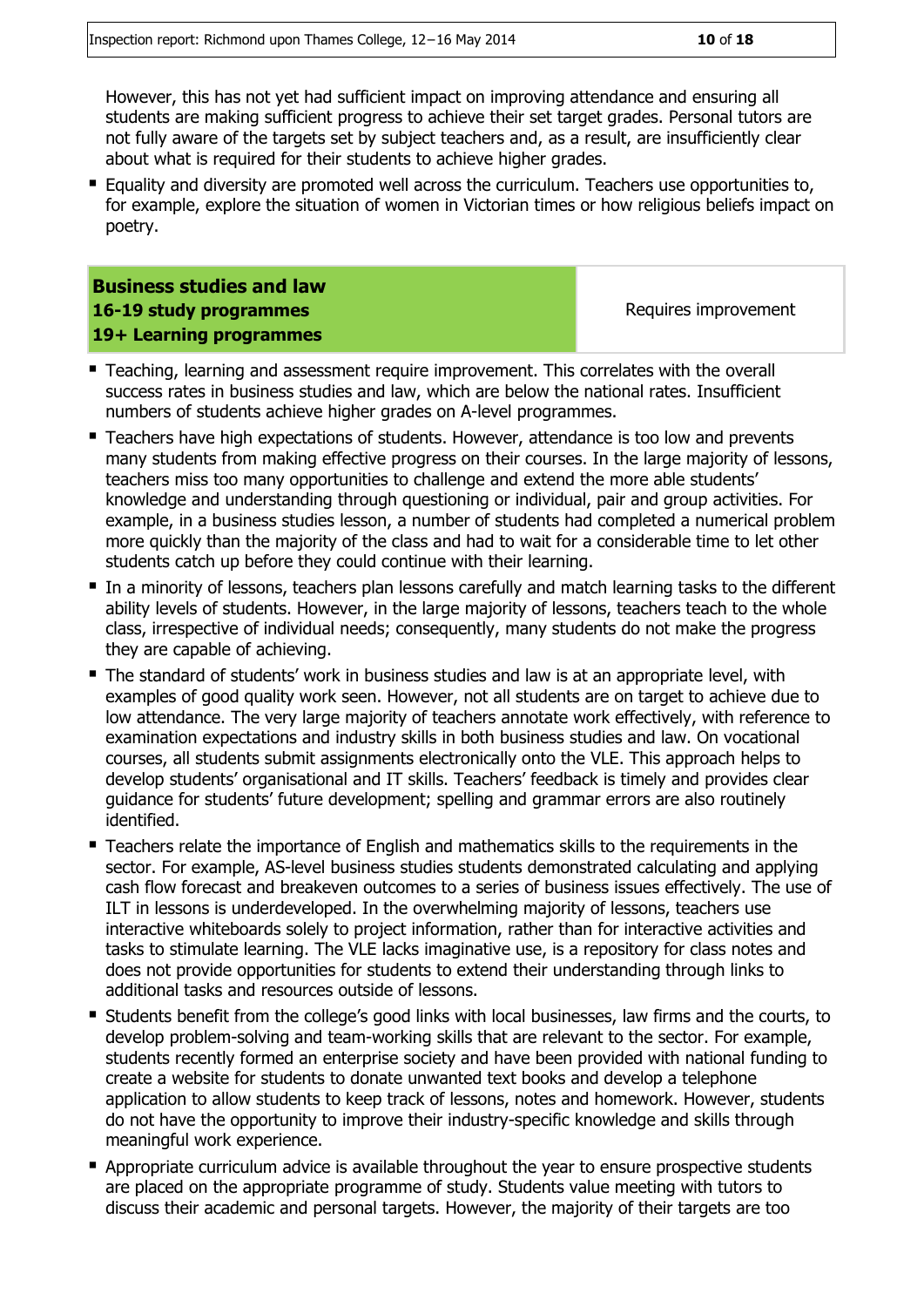However, this has not yet had sufficient impact on improving attendance and ensuring all students are making sufficient progress to achieve their set target grades. Personal tutors are not fully aware of the targets set by subject teachers and, as a result, are insufficiently clear about what is required for their students to achieve higher grades.

Equality and diversity are promoted well across the curriculum. Teachers use opportunities to, for example, explore the situation of women in Victorian times or how religious beliefs impact on poetry.

**Business studies and law 16-19 study programmes 19+ Learning programmes**

- Teaching, learning and assessment require improvement. This correlates with the overall success rates in business studies and law, which are below the national rates. Insufficient numbers of students achieve higher grades on A-level programmes.
- **Teachers have high expectations of students. However, attendance is too low and prevents** many students from making effective progress on their courses. In the large majority of lessons, teachers miss too many opportunities to challenge and extend the more able students' knowledge and understanding through questioning or individual, pair and group activities. For example, in a business studies lesson, a number of students had completed a numerical problem more quickly than the majority of the class and had to wait for a considerable time to let other students catch up before they could continue with their learning.
- In a minority of lessons, teachers plan lessons carefully and match learning tasks to the different ability levels of students. However, in the large majority of lessons, teachers teach to the whole class, irrespective of individual needs; consequently, many students do not make the progress they are capable of achieving.
- The standard of students' work in business studies and law is at an appropriate level, with examples of good quality work seen. However, not all students are on target to achieve due to low attendance. The very large majority of teachers annotate work effectively, with reference to examination expectations and industry skills in both business studies and law. On vocational courses, all students submit assignments electronically onto the VLE. This approach helps to develop students' organisational and IT skills. Teachers' feedback is timely and provides clear guidance for students' future development; spelling and grammar errors are also routinely identified.
- Teachers relate the importance of English and mathematics skills to the requirements in the sector. For example, AS-level business studies students demonstrated calculating and applying cash flow forecast and breakeven outcomes to a series of business issues effectively. The use of ILT in lessons is underdeveloped. In the overwhelming majority of lessons, teachers use interactive whiteboards solely to project information, rather than for interactive activities and tasks to stimulate learning. The VLE lacks imaginative use, is a repository for class notes and does not provide opportunities for students to extend their understanding through links to additional tasks and resources outside of lessons.
- Students benefit from the college's good links with local businesses, law firms and the courts, to develop problem-solving and team-working skills that are relevant to the sector. For example, students recently formed an enterprise society and have been provided with national funding to create a website for students to donate unwanted text books and develop a telephone application to allow students to keep track of lessons, notes and homework. However, students do not have the opportunity to improve their industry-specific knowledge and skills through meaningful work experience.
- Appropriate curriculum advice is available throughout the year to ensure prospective students are placed on the appropriate programme of study. Students value meeting with tutors to discuss their academic and personal targets. However, the majority of their targets are too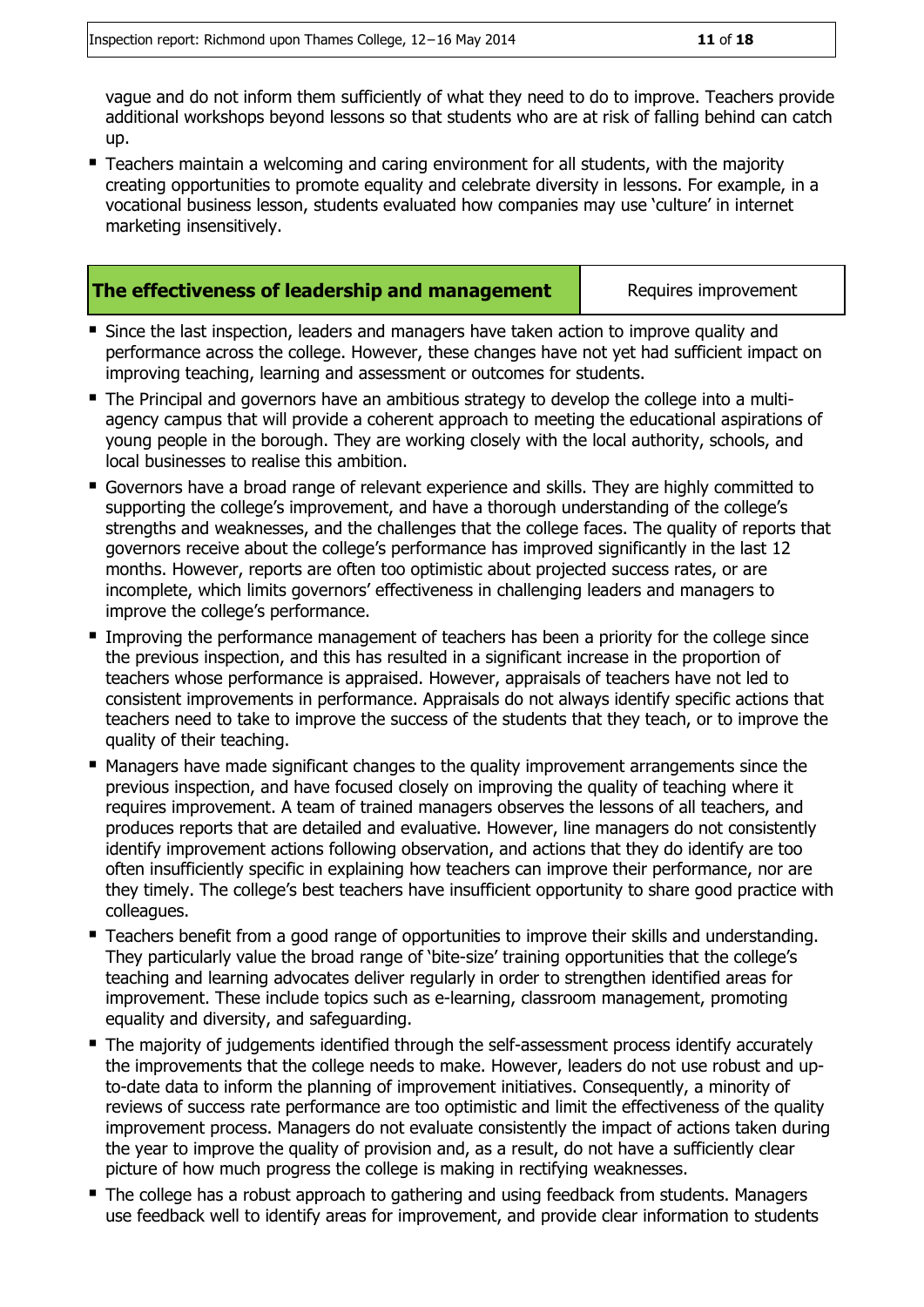vague and do not inform them sufficiently of what they need to do to improve. Teachers provide additional workshops beyond lessons so that students who are at risk of falling behind can catch up.

 Teachers maintain a welcoming and caring environment for all students, with the majority creating opportunities to promote equality and celebrate diversity in lessons. For example, in a vocational business lesson, students evaluated how companies may use 'culture' in internet marketing insensitively.

#### **The effectiveness of leadership and management** Requires improvement

- Since the last inspection, leaders and managers have taken action to improve quality and performance across the college. However, these changes have not yet had sufficient impact on improving teaching, learning and assessment or outcomes for students.
- The Principal and governors have an ambitious strategy to develop the college into a multiagency campus that will provide a coherent approach to meeting the educational aspirations of young people in the borough. They are working closely with the local authority, schools, and local businesses to realise this ambition.
- Governors have a broad range of relevant experience and skills. They are highly committed to supporting the college's improvement, and have a thorough understanding of the college's strengths and weaknesses, and the challenges that the college faces. The quality of reports that governors receive about the college's performance has improved significantly in the last 12 months. However, reports are often too optimistic about projected success rates, or are incomplete, which limits governors' effectiveness in challenging leaders and managers to improve the college's performance.
- **Improving the performance management of teachers has been a priority for the college since** the previous inspection, and this has resulted in a significant increase in the proportion of teachers whose performance is appraised. However, appraisals of teachers have not led to consistent improvements in performance. Appraisals do not always identify specific actions that teachers need to take to improve the success of the students that they teach, or to improve the quality of their teaching.
- Managers have made significant changes to the quality improvement arrangements since the previous inspection, and have focused closely on improving the quality of teaching where it requires improvement. A team of trained managers observes the lessons of all teachers, and produces reports that are detailed and evaluative. However, line managers do not consistently identify improvement actions following observation, and actions that they do identify are too often insufficiently specific in explaining how teachers can improve their performance, nor are they timely. The college's best teachers have insufficient opportunity to share good practice with colleagues.
- Teachers benefit from a good range of opportunities to improve their skills and understanding. They particularly value the broad range of 'bite-size' training opportunities that the college's teaching and learning advocates deliver regularly in order to strengthen identified areas for improvement. These include topics such as e-learning, classroom management, promoting equality and diversity, and safeguarding.
- The majority of judgements identified through the self-assessment process identify accurately the improvements that the college needs to make. However, leaders do not use robust and upto-date data to inform the planning of improvement initiatives. Consequently, a minority of reviews of success rate performance are too optimistic and limit the effectiveness of the quality improvement process. Managers do not evaluate consistently the impact of actions taken during the year to improve the quality of provision and, as a result, do not have a sufficiently clear picture of how much progress the college is making in rectifying weaknesses.
- The college has a robust approach to gathering and using feedback from students. Managers use feedback well to identify areas for improvement, and provide clear information to students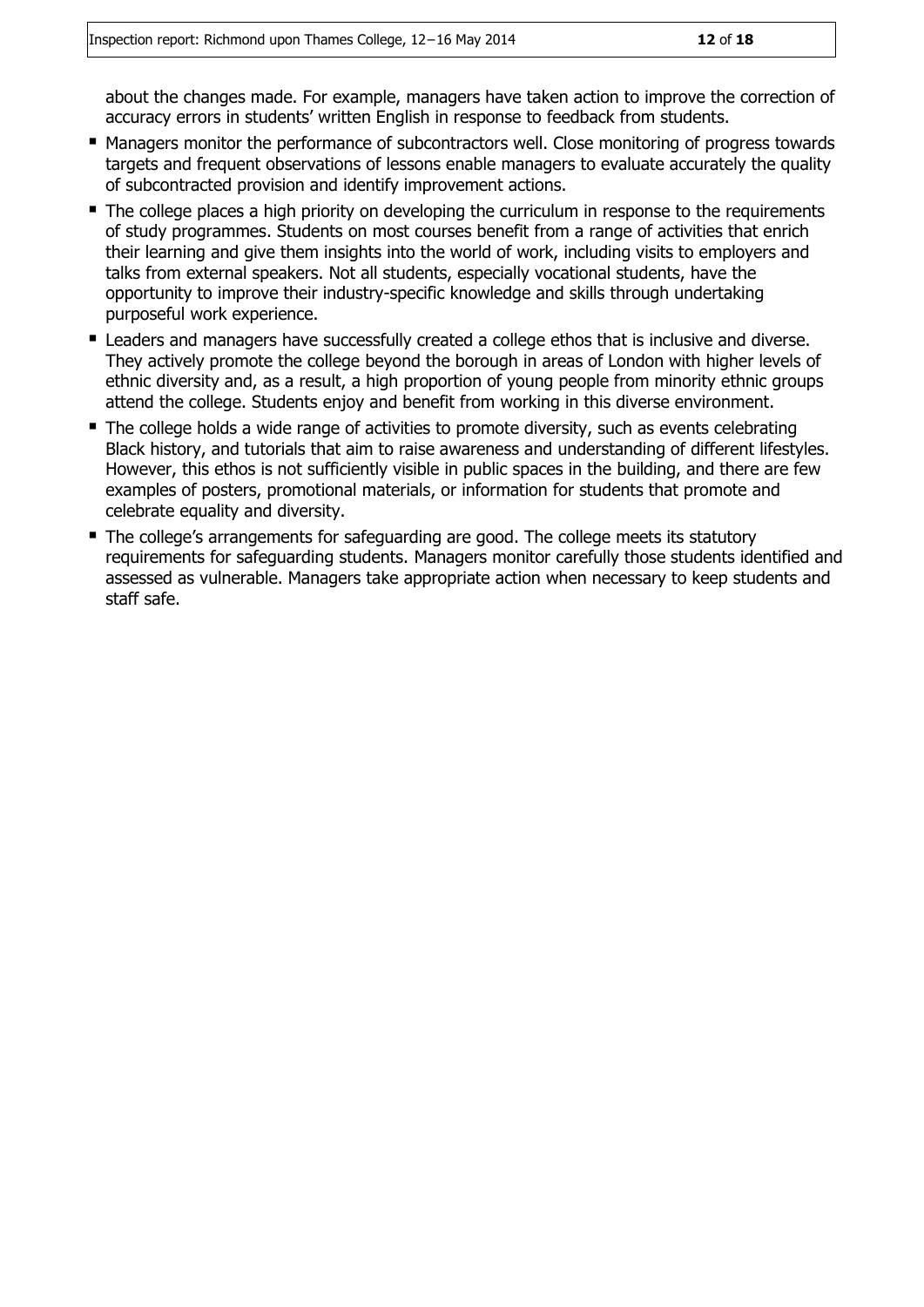about the changes made. For example, managers have taken action to improve the correction of accuracy errors in students' written English in response to feedback from students.

- **Managers monitor the performance of subcontractors well. Close monitoring of progress towards** targets and frequent observations of lessons enable managers to evaluate accurately the quality of subcontracted provision and identify improvement actions.
- The college places a high priority on developing the curriculum in response to the requirements of study programmes. Students on most courses benefit from a range of activities that enrich their learning and give them insights into the world of work, including visits to employers and talks from external speakers. Not all students, especially vocational students, have the opportunity to improve their industry-specific knowledge and skills through undertaking purposeful work experience.
- **E** Leaders and managers have successfully created a college ethos that is inclusive and diverse. They actively promote the college beyond the borough in areas of London with higher levels of ethnic diversity and, as a result, a high proportion of young people from minority ethnic groups attend the college. Students enjoy and benefit from working in this diverse environment.
- The college holds a wide range of activities to promote diversity, such as events celebrating Black history, and tutorials that aim to raise awareness and understanding of different lifestyles. However, this ethos is not sufficiently visible in public spaces in the building, and there are few examples of posters, promotional materials, or information for students that promote and celebrate equality and diversity.
- The college's arrangements for safeguarding are good. The college meets its statutory requirements for safeguarding students. Managers monitor carefully those students identified and assessed as vulnerable. Managers take appropriate action when necessary to keep students and staff safe.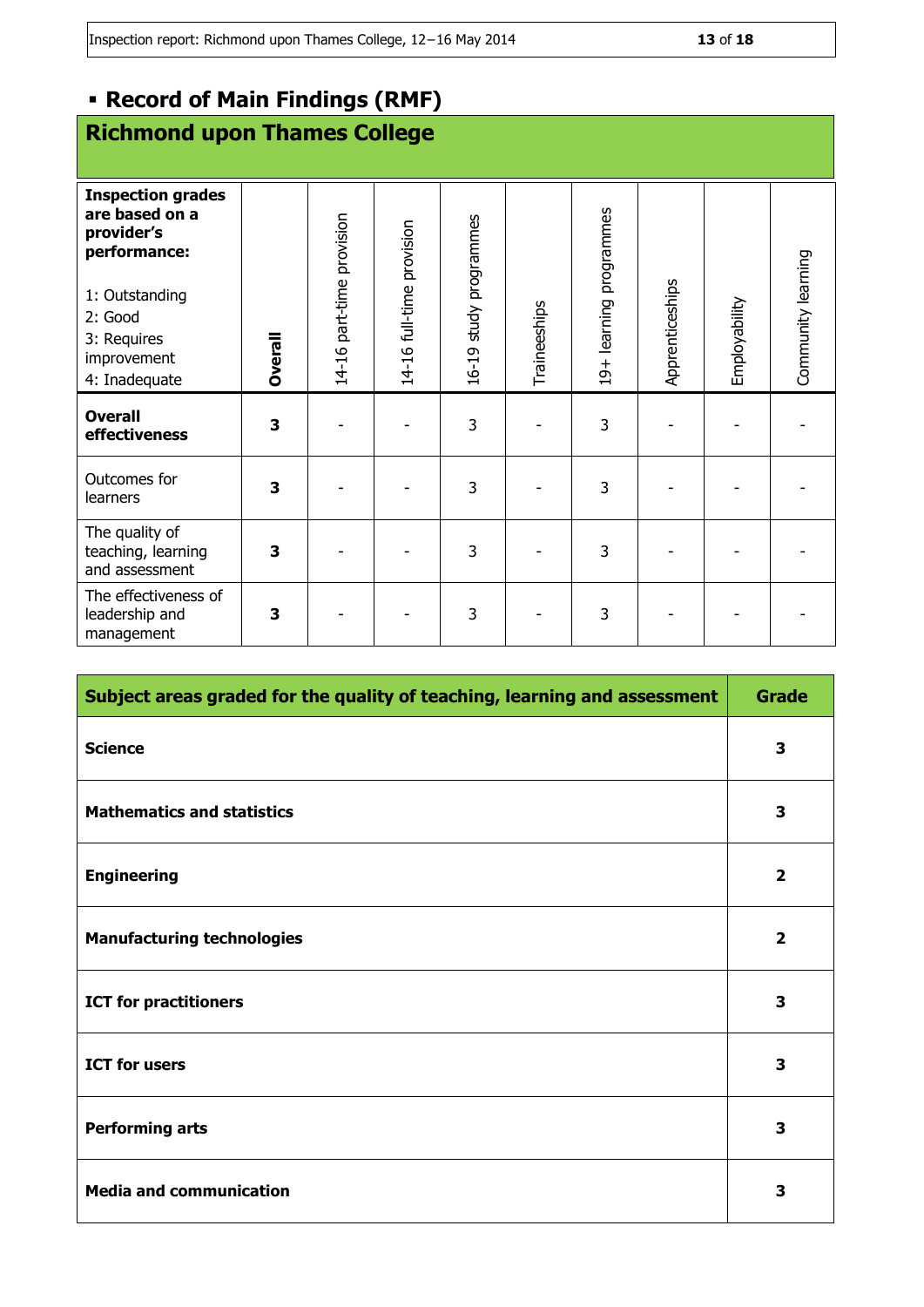# **Record of Main Findings (RMF)**

# **Richmond upon Thames College**

| <b>Inspection grades</b><br>are based on a<br>provider's<br>performance:<br>1: Outstanding<br>2: Good<br>3: Requires<br>improvement<br>4: Inadequate | <b>Dverall</b> | 14-16 part-time provision | 14-16 full-time provision | 16-19 study programmes | Traineeships | 19+ learning programmes | Apprenticeships | Employability | Community learning |
|------------------------------------------------------------------------------------------------------------------------------------------------------|----------------|---------------------------|---------------------------|------------------------|--------------|-------------------------|-----------------|---------------|--------------------|
| <b>Overall</b><br>effectiveness                                                                                                                      | 3              |                           |                           | 3                      |              | 3                       |                 |               |                    |
| Outcomes for<br>learners                                                                                                                             | 3              |                           |                           | 3                      |              | 3                       |                 |               |                    |
| The quality of<br>teaching, learning<br>and assessment                                                                                               | 3              |                           |                           | 3                      |              | 3                       |                 |               |                    |
| The effectiveness of<br>leadership and<br>management                                                                                                 | 3              |                           |                           | 3                      |              | 3                       |                 |               |                    |

| Subject areas graded for the quality of teaching, learning and assessment |                         |  |  |
|---------------------------------------------------------------------------|-------------------------|--|--|
| <b>Science</b>                                                            | 3                       |  |  |
| <b>Mathematics and statistics</b>                                         | $\overline{\mathbf{3}}$ |  |  |
| <b>Engineering</b>                                                        | $\overline{2}$          |  |  |
| <b>Manufacturing technologies</b>                                         | $\overline{\mathbf{2}}$ |  |  |
| <b>ICT for practitioners</b>                                              | 3                       |  |  |
| <b>ICT for users</b>                                                      | $\overline{\mathbf{3}}$ |  |  |
| <b>Performing arts</b>                                                    | $\overline{\mathbf{3}}$ |  |  |
| <b>Media and communication</b>                                            | 3                       |  |  |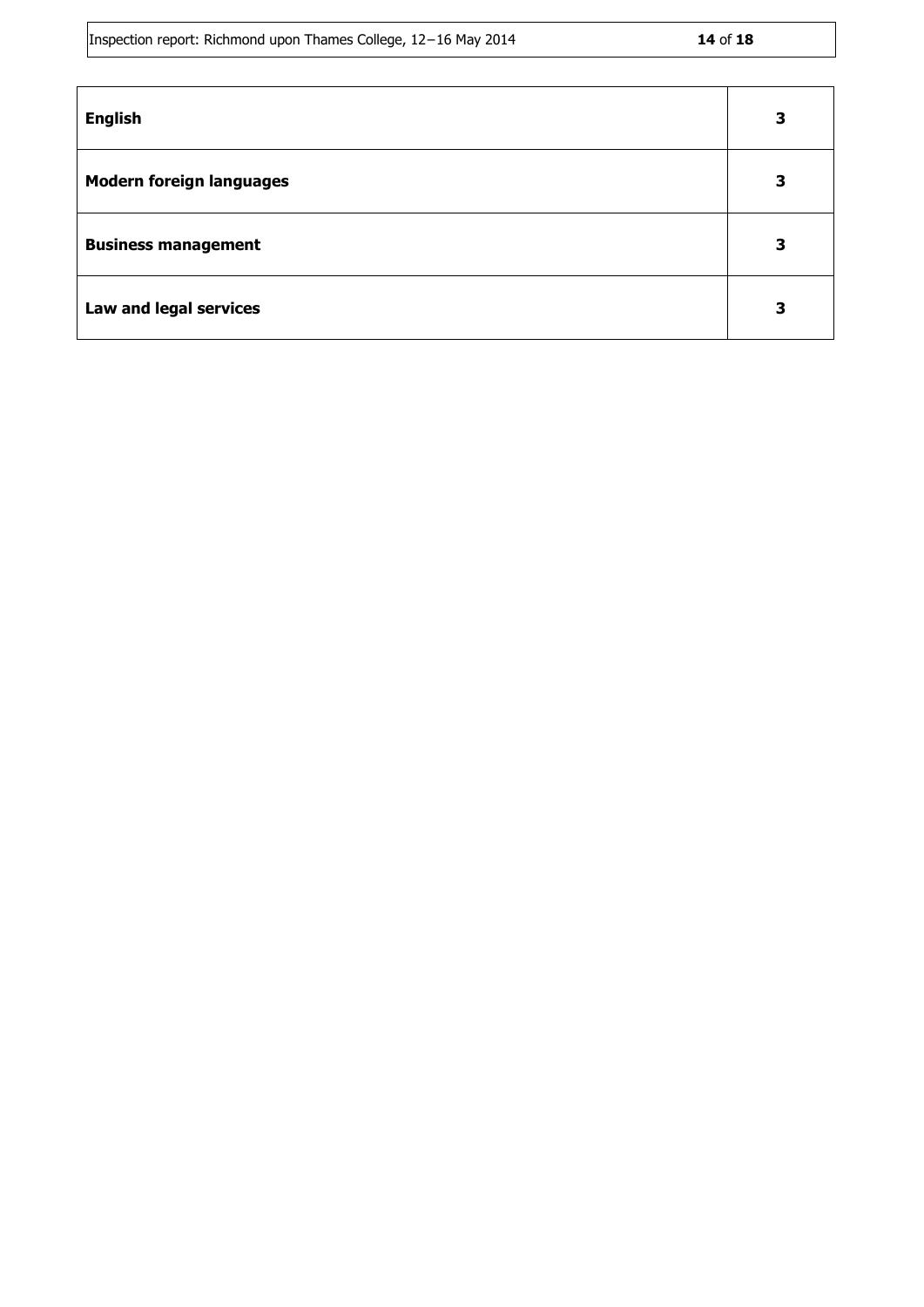Inspection report: Richmond upon Thames College, 12−16 May 2014 **14** of **18**

| <b>English</b>                  | 3 |
|---------------------------------|---|
| <b>Modern foreign languages</b> | 3 |
| <b>Business management</b>      | З |
| Law and legal services          |   |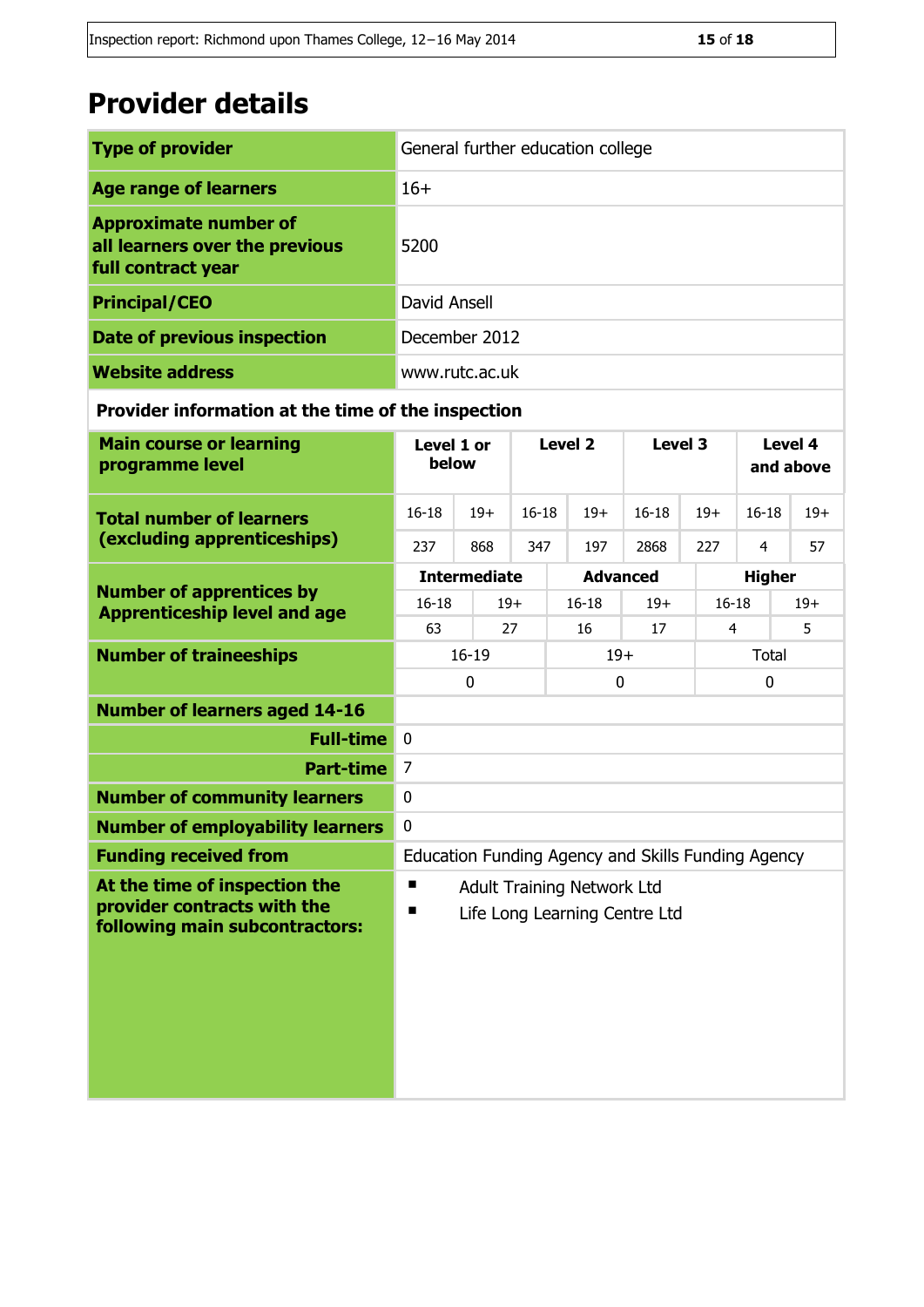# **Provider details**

| <b>Type of provider</b>                                                              | General further education college |
|--------------------------------------------------------------------------------------|-----------------------------------|
| <b>Age range of learners</b>                                                         | $16+$                             |
| <b>Approximate number of</b><br>all learners over the previous<br>full contract year | 5200                              |
| <b>Principal/CEO</b>                                                                 | David Ansell                      |
| Date of previous inspection                                                          | December 2012                     |
| <b>Website address</b>                                                               | www.rutc.ac.uk                    |

### **Provider information at the time of the inspection**

| <b>Main course or learning</b><br>programme level                                              | Level 1 or<br>below                                                          |                     | Level <sub>2</sub> |                 | Level 3            |                | Level 4<br>and above |       |  |
|------------------------------------------------------------------------------------------------|------------------------------------------------------------------------------|---------------------|--------------------|-----------------|--------------------|----------------|----------------------|-------|--|
| <b>Total number of learners</b>                                                                | $16 - 18$                                                                    | $19+$               | $16 - 18$          | $19+$           | $16 - 18$          | $19+$          | $16 - 18$            | $19+$ |  |
| (excluding apprenticeships)                                                                    | 237                                                                          | 868                 | 347                | 197             | 2868               | 227            | $\overline{4}$       | 57    |  |
|                                                                                                |                                                                              | <b>Intermediate</b> |                    | <b>Advanced</b> |                    | <b>Higher</b>  |                      |       |  |
| <b>Number of apprentices by</b><br><b>Apprenticeship level and age</b>                         | $16 - 18$                                                                    |                     | $19+$              | $16 - 18$       | $19+$<br>$16 - 18$ |                | $19+$                |       |  |
|                                                                                                | 63                                                                           |                     | 27                 | 16              | 17                 | $\overline{4}$ |                      | 5     |  |
| <b>Number of traineeships</b>                                                                  | $16 - 19$                                                                    |                     |                    | $19+$           |                    |                | Total                |       |  |
|                                                                                                |                                                                              | $\mathbf 0$         |                    | 0               |                    |                | 0                    |       |  |
| <b>Number of learners aged 14-16</b>                                                           |                                                                              |                     |                    |                 |                    |                |                      |       |  |
| <b>Full-time</b>                                                                               | $\mathbf 0$                                                                  |                     |                    |                 |                    |                |                      |       |  |
| <b>Part-time</b>                                                                               | $\overline{7}$                                                               |                     |                    |                 |                    |                |                      |       |  |
| <b>Number of community learners</b>                                                            | $\mathbf{0}$                                                                 |                     |                    |                 |                    |                |                      |       |  |
| <b>Number of employability learners</b>                                                        | $\mathbf 0$                                                                  |                     |                    |                 |                    |                |                      |       |  |
| <b>Funding received from</b>                                                                   | Education Funding Agency and Skills Funding Agency                           |                     |                    |                 |                    |                |                      |       |  |
| At the time of inspection the<br>provider contracts with the<br>following main subcontractors: | п<br><b>Adult Training Network Ltd</b><br>п<br>Life Long Learning Centre Ltd |                     |                    |                 |                    |                |                      |       |  |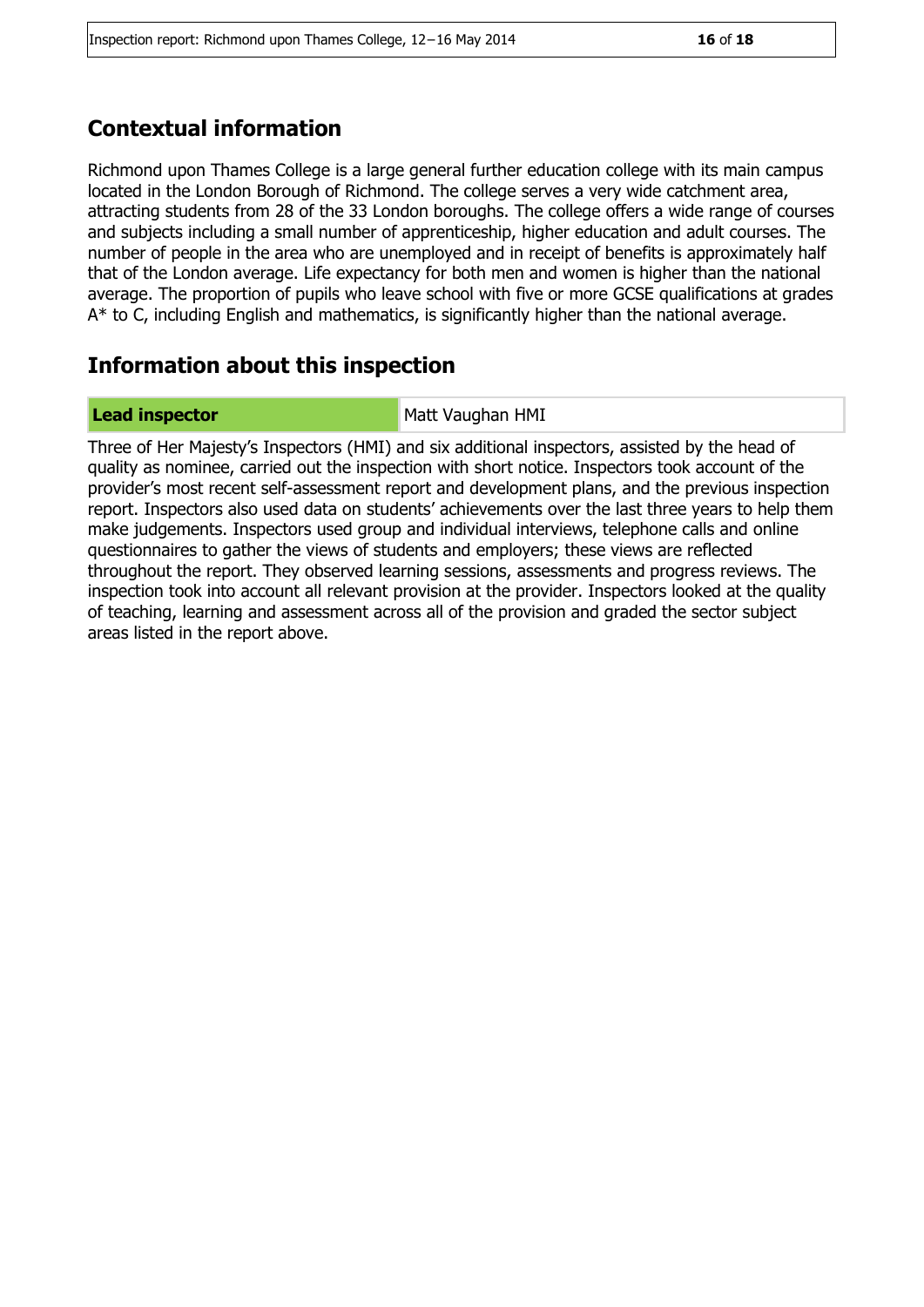# **Contextual information**

Richmond upon Thames College is a large general further education college with its main campus located in the London Borough of Richmond. The college serves a very wide catchment area, attracting students from 28 of the 33 London boroughs. The college offers a wide range of courses and subjects including a small number of apprenticeship, higher education and adult courses. The number of people in the area who are unemployed and in receipt of benefits is approximately half that of the London average. Life expectancy for both men and women is higher than the national average. The proportion of pupils who leave school with five or more GCSE qualifications at grades A\* to C, including English and mathematics, is significantly higher than the national average.

# **Information about this inspection**

**Lead inspector** Matt Vaughan HMI

Three of Her Majesty's Inspectors (HMI) and six additional inspectors, assisted by the head of quality as nominee, carried out the inspection with short notice. Inspectors took account of the provider's most recent self-assessment report and development plans, and the previous inspection report. Inspectors also used data on students' achievements over the last three years to help them make judgements. Inspectors used group and individual interviews, telephone calls and online questionnaires to gather the views of students and employers; these views are reflected throughout the report. They observed learning sessions, assessments and progress reviews. The inspection took into account all relevant provision at the provider. Inspectors looked at the quality of teaching, learning and assessment across all of the provision and graded the sector subject areas listed in the report above.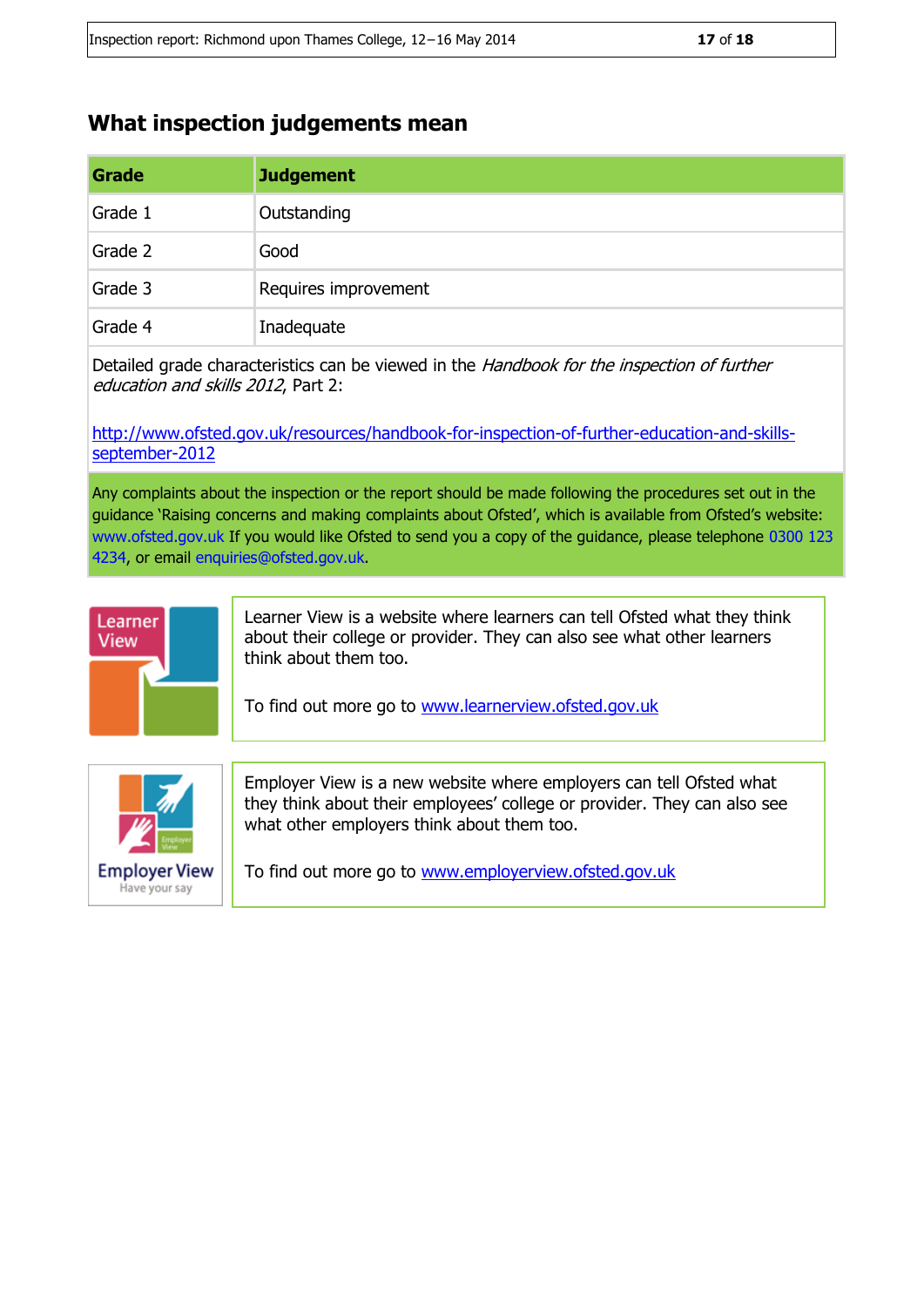# **What inspection judgements mean**

| Grade   | <b>Judgement</b>     |
|---------|----------------------|
| Grade 1 | Outstanding          |
| Grade 2 | Good                 |
| Grade 3 | Requires improvement |
| Grade 4 | Inadequate           |

Detailed grade characteristics can be viewed in the *Handbook for the inspection of further* education and skills 2012, Part 2:

[http://www.ofsted.gov.uk/resources/handbook-for-inspection-of-further-education-and-skills](http://www.ofsted.gov.uk/resources/handbook-for-inspection-of-further-education-and-skills-september-2012)[september-2012](http://www.ofsted.gov.uk/resources/handbook-for-inspection-of-further-education-and-skills-september-2012)

Any complaints about the inspection or the report should be made following the procedures set out in the guidance 'Raising concerns and making complaints about Ofsted', which is available from Ofsted's website: www.ofsted.gov.uk If you would like Ofsted to send you a copy of the guidance, please telephone 0300 123 4234, or email enquiries@ofsted.gov.uk.



Learner View is a website where learners can tell Ofsted what they think about their college or provider. They can also see what other learners think about them too.

To find out more go to [www.learnerview.ofsted.gov.uk](http://www.learnerview.ofsted.gov.uk/)



Employer View is a new website where employers can tell Ofsted what they think about their employees' college or provider. They can also see what other employers think about them too.

To find out more go to [www.employerview.ofsted.gov.uk](http://www.employerview.ofsted.gov.uk/)